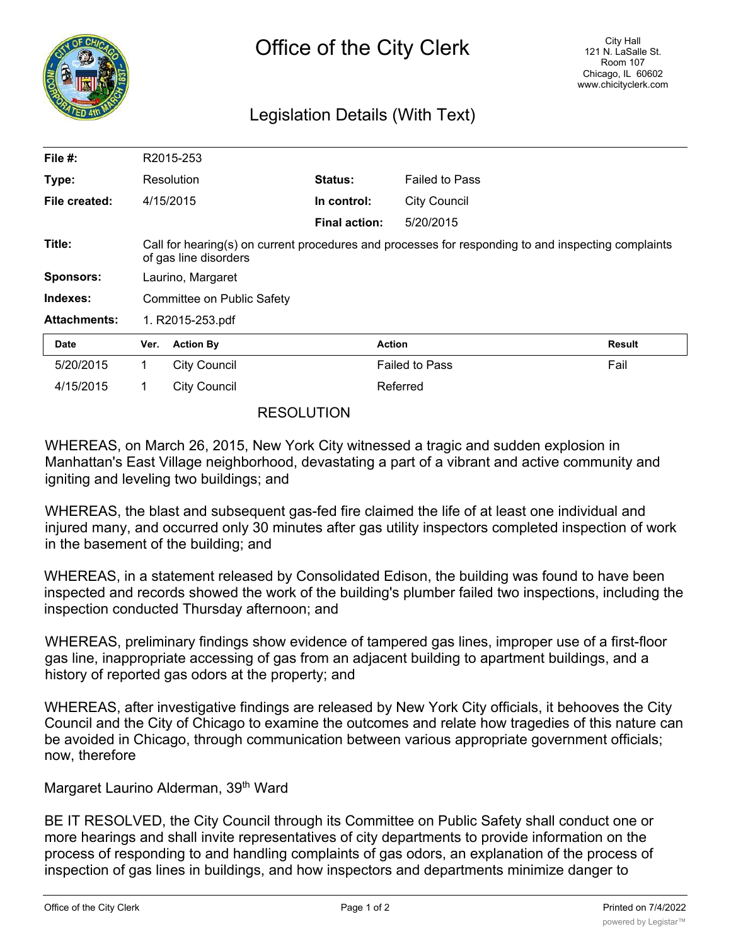

## Legislation Details (With Text)

| File $#$ :          |                                                                                                                              | R2015-253           |                      |                       |               |
|---------------------|------------------------------------------------------------------------------------------------------------------------------|---------------------|----------------------|-----------------------|---------------|
| Type:               |                                                                                                                              | Resolution          | Status:              | <b>Failed to Pass</b> |               |
| File created:       |                                                                                                                              | 4/15/2015           | In control:          | <b>City Council</b>   |               |
|                     |                                                                                                                              |                     | <b>Final action:</b> | 5/20/2015             |               |
| Title:              | Call for hearing(s) on current procedures and processes for responding to and inspecting complaints<br>of gas line disorders |                     |                      |                       |               |
| <b>Sponsors:</b>    | Laurino, Margaret                                                                                                            |                     |                      |                       |               |
| Indexes:            | Committee on Public Safety                                                                                                   |                     |                      |                       |               |
| <b>Attachments:</b> | 1. R2015-253.pdf                                                                                                             |                     |                      |                       |               |
| Date                | Ver.                                                                                                                         | <b>Action By</b>    |                      | <b>Action</b>         | <b>Result</b> |
| 5/20/2015           | 1.                                                                                                                           | <b>City Council</b> |                      | <b>Failed to Pass</b> | Fail          |
| 4/15/2015           | 1.                                                                                                                           | <b>City Council</b> |                      | Referred              |               |

## RESOLUTION

WHEREAS, on March 26, 2015, New York City witnessed a tragic and sudden explosion in Manhattan's East Village neighborhood, devastating a part of a vibrant and active community and igniting and leveling two buildings; and

WHEREAS, the blast and subsequent gas-fed fire claimed the life of at least one individual and injured many, and occurred only 30 minutes after gas utility inspectors completed inspection of work in the basement of the building; and

WHEREAS, in a statement released by Consolidated Edison, the building was found to have been inspected and records showed the work of the building's plumber failed two inspections, including the inspection conducted Thursday afternoon; and

WHEREAS, preliminary findings show evidence of tampered gas lines, improper use of a first-floor gas line, inappropriate accessing of gas from an adjacent building to apartment buildings, and a history of reported gas odors at the property; and

WHEREAS, after investigative findings are released by New York City officials, it behooves the City Council and the City of Chicago to examine the outcomes and relate how tragedies of this nature can be avoided in Chicago, through communication between various appropriate government officials; now, therefore

Margaret Laurino Alderman, 39<sup>th</sup> Ward

BE IT RESOLVED, the City Council through its Committee on Public Safety shall conduct one or more hearings and shall invite representatives of city departments to provide information on the process of responding to and handling complaints of gas odors, an explanation of the process of inspection of gas lines in buildings, and how inspectors and departments minimize danger to